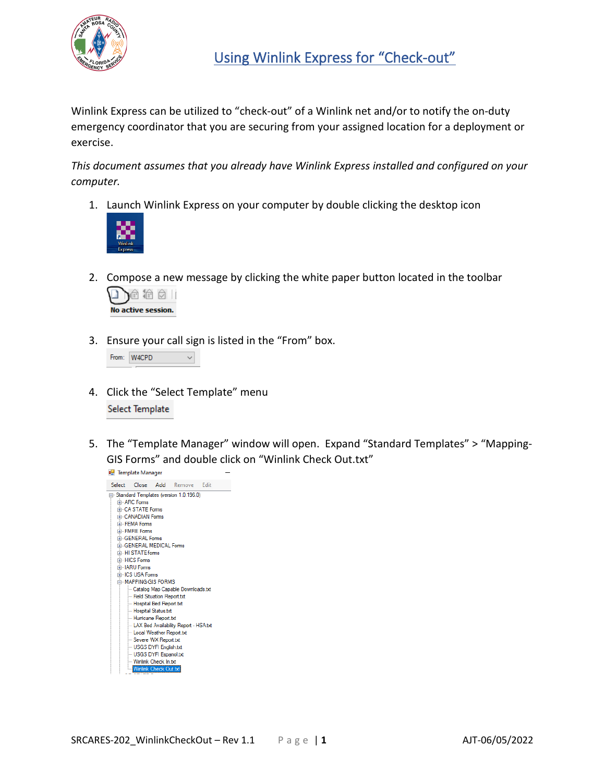

Winlink Express can be utilized to "check-out" of a Winlink net and/or to notify the on-duty emergency coordinator that you are securing from your assigned location for a deployment or exercise.

*This document assumes that you already have Winlink Express installed and configured on your computer.*

1. Launch Winlink Express on your computer by double clicking the desktop icon



2. Compose a new message by clicking the white paper button located in the toolbar



3. Ensure your call sign is listed in the "From" box.

|  | From: W4CPD |  |
|--|-------------|--|
|--|-------------|--|

- 4. Click the "Select Template" menu Select Template
- 5. The "Template Manager" window will open. Expand "Standard Templates" > "Mapping-GIS Forms" and double click on "Winlink Check Out.txt"

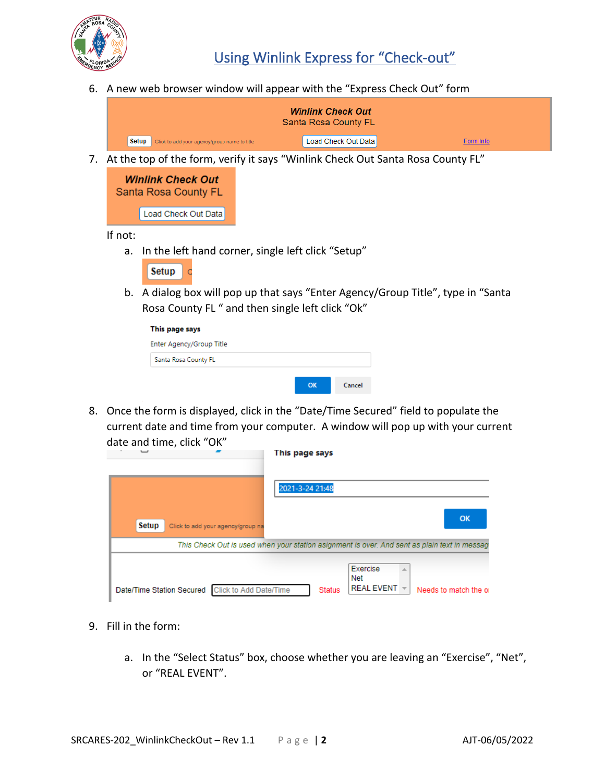

6. A new web browser window will appear with the "Express Check Out" form

| <b>Winlink Check Out</b><br>Santa Rosa County FL      |                     |           |  |  |
|-------------------------------------------------------|---------------------|-----------|--|--|
| Setup<br>Click to add your agency/group name to title | Load Check Out Data | Form Info |  |  |

7. At the top of the form, verify it says "Winlink Check Out Santa Rosa County FL"

| <b>Winlink Check Out</b><br><b>Santa Rosa County FL</b> |                       |  |  |
|---------------------------------------------------------|-----------------------|--|--|
|                                                         | [Load Check Out Data] |  |  |

If not:

a. In the left hand corner, single left click "Setup"

b. A dialog box will pop up that says "Enter Agency/Group Title", type in "Santa Rosa County FL " and then single left click "Ok"

| This page says           |          |        |
|--------------------------|----------|--------|
| Enter Agency/Group Title |          |        |
| Santa Rosa County FL     |          |        |
|                          |          |        |
|                          | $\alpha$ | Cancel |

8. Once the form is displayed, click in the "Date/Time Secured" field to populate the current date and time from your computer. A window will pop up with your current date and time, click "OK"

|       |                                                                                              | This page says  |               |                                 |                        |
|-------|----------------------------------------------------------------------------------------------|-----------------|---------------|---------------------------------|------------------------|
|       |                                                                                              | 2021-3-24 21:48 |               |                                 |                        |
| Setup | Click to add your agency/group na                                                            |                 |               |                                 | OK                     |
|       | This Check Out is used when your station asignment is over. And sent as plain text in messag |                 |               |                                 |                        |
|       | Date/Time Station Secured Click to Add Date/Time                                             |                 | <b>Status</b> | Exercise<br>Net<br>REAL EVENT - | Needs to match the oil |

- 9. Fill in the form:
	- a. In the "Select Status" box, choose whether you are leaving an "Exercise", "Net", or "REAL EVENT".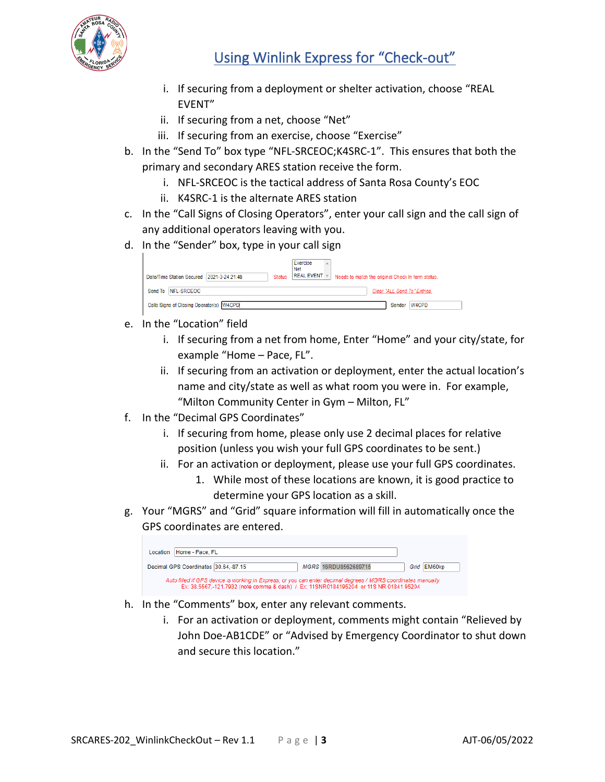

## Using Winlink Express for "Check-out"

- i. If securing from a deployment or shelter activation, choose "REAL EVENT"
- ii. If securing from a net, choose "Net"
- iii. If securing from an exercise, choose "Exercise"
- b. In the "Send To" box type "NFL-SRCEOC;K4SRC-1". This ensures that both the primary and secondary ARES station receive the form.
	- i. NFL-SRCEOC is the tactical address of Santa Rosa County's EOC
	- ii. K4SRC-1 is the alternate ARES station
- c. In the "Call Signs of Closing Operators", enter your call sign and the call sign of any additional operators leaving with you.
- d. In the "Sender" box, type in your call sign

|                                           | Exercise<br>人<br><b>Net</b>                                                                            |
|-------------------------------------------|--------------------------------------------------------------------------------------------------------|
| Date/Time Station Secured 2021-3-24 21:48 | $REAL$ EVENT $\Vert \cdot \Vert$<br>Needs to match the original Check In form status.<br><b>Status</b> |
| Send To NFL-SRCEOC                        | Clear "ALL Send To" Entries.                                                                           |
| Calls Signs of Closing Operator(s) W4CPD  | Sender W4CPD                                                                                           |

- e. In the "Location" field
	- i. If securing from a net from home, Enter "Home" and your city/state, for example "Home – Pace, FL".
	- ii. If securing from an activation or deployment, enter the actual location's name and city/state as well as what room you were in. For example, "Milton Community Center in Gym – Milton, FL"
- f. In the "Decimal GPS Coordinates"
	- i. If securing from home, please only use 2 decimal places for relative position (unless you wish your full GPS coordinates to be sent.)
	- ii. For an activation or deployment, please use your full GPS coordinates.
		- 1. While most of these locations are known, it is good practice to determine your GPS location as a skill.
- g. Your "MGRS" and "Grid" square information will fill in automatically once the GPS coordinates are entered.

| Home - Pace, FL<br>Location                                                                                                                                                                             |
|---------------------------------------------------------------------------------------------------------------------------------------------------------------------------------------------------------|
| Decimal GPS Coordinates 30.64,-87.15<br>MGRS 16RDU8562689715<br>Grid EM60kp                                                                                                                             |
| Auto filled if GPS device is working in Express, or you can enter decimal degrees / MGRS coordinates manually,<br>Ex: 38.5567,-121.7932 (note comma & dash) / Ex: 11SNR0184195204 or 11S NR 01841 95204 |

- h. In the "Comments" box, enter any relevant comments.
	- i. For an activation or deployment, comments might contain "Relieved by John Doe-AB1CDE" or "Advised by Emergency Coordinator to shut down and secure this location."